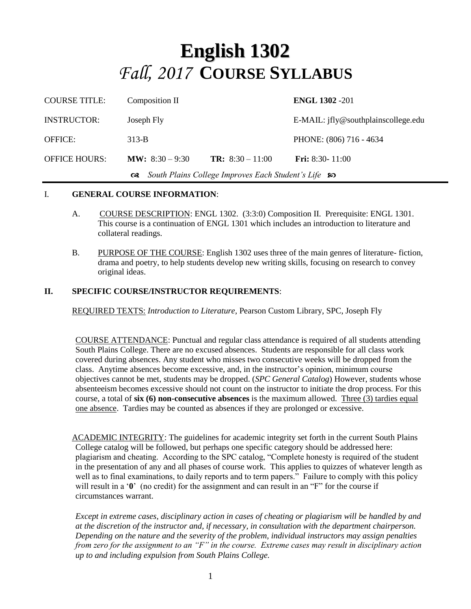# **English 1302** *Fall, 2017* **COURSE SYLLABUS**

| <b>COURSE TITLE:</b>                                             | Composition II            |                         | <b>ENGL 1302 -201</b>               |
|------------------------------------------------------------------|---------------------------|-------------------------|-------------------------------------|
| <b>INSTRUCTOR:</b>                                               | Joseph Fly                |                         | E-MAIL: jfly@southplainscollege.edu |
| <b>OFFICE:</b>                                                   | $313-B$                   |                         | PHONE: (806) 716 - 4634             |
| <b>OFFICE HOURS:</b>                                             | <b>MW</b> : $8:30 - 9:30$ | <b>TR:</b> $8:30-11:00$ | <b>Fri:</b> 8:30- 11:00             |
| South Plains College Improves Each Student's Life so<br>$\alpha$ |                           |                         |                                     |

#### I. **GENERAL COURSE INFORMATION**:

- A. COURSE DESCRIPTION: ENGL 1302. (3:3:0) Composition II. Prerequisite: ENGL 1301. This course is a continuation of ENGL 1301 which includes an introduction to literature and collateral readings.
- B. PURPOSE OF THE COURSE: English 1302 uses three of the main genres of literature- fiction, drama and poetry, to help students develop new writing skills, focusing on research to convey original ideas.

#### **II. SPECIFIC COURSE/INSTRUCTOR REQUIREMENTS**:

REQUIRED TEXTS: *Introduction to Literature*, Pearson Custom Library, SPC, Joseph Fly

COURSE ATTENDANCE: Punctual and regular class attendance is required of all students attending South Plains College. There are no excused absences. Students are responsible for all class work covered during absences. Any student who misses two consecutive weeks will be dropped from the class. Anytime absences become excessive, and, in the instructor's opinion, minimum course objectives cannot be met, students may be dropped. (*SPC General Catalog*) However, students whose absenteeism becomes excessive should not count on the instructor to initiate the drop process. For this course, a total of **six (6) non-consecutive absences** is the maximum allowed. Three (3) tardies equal one absence. Tardies may be counted as absences if they are prolonged or excessive.

ACADEMIC INTEGRITY: The guidelines for academic integrity set forth in the current South Plains College catalog will be followed, but perhaps one specific category should be addressed here: plagiarism and cheating. According to the SPC catalog, "Complete honesty is required of the student in the presentation of any and all phases of course work. This applies to quizzes of whatever length as well as to final examinations, to daily reports and to term papers." Failure to comply with this policy will result in a '**0**' (no credit) for the assignment and can result in an "F" for the course if circumstances warrant.

*Except in extreme cases, disciplinary action in cases of cheating or plagiarism will be handled by and at the discretion of the instructor and, if necessary, in consultation with the department chairperson. Depending on the nature and the severity of the problem, individual instructors may assign penalties from zero for the assignment to an "F" in the course. Extreme cases may result in disciplinary action up to and including expulsion from South Plains College.*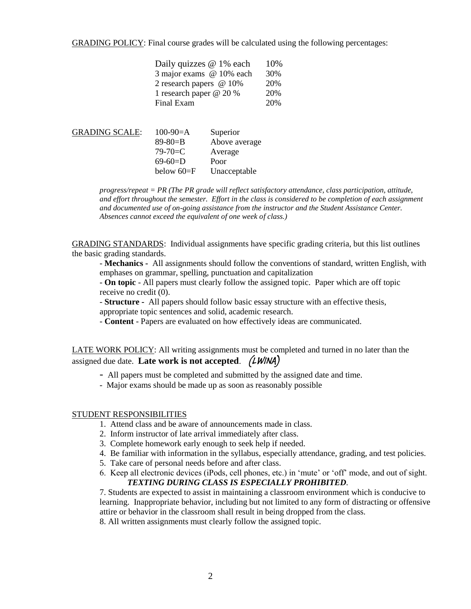GRADING POLICY: Final course grades will be calculated using the following percentages:

| Daily quizzes @ 1% each  | 10% |
|--------------------------|-----|
| 3 major exams @ 10% each | 30% |
| 2 research papers @ 10%  | 20% |
| 1 research paper @ 20 %  | 20% |
| Final Exam               | 20% |

| <b>GRADING SCALE:</b> | $100-90=$ A    | Superior      |
|-----------------------|----------------|---------------|
|                       | $89 - 80 = B$  | Above average |
|                       | $79 - 70 = C$  | Average       |
|                       | $69-60=$ D     | Poor          |
|                       | below $60 = F$ | Unacceptable  |
|                       |                |               |

*progress/repeat = PR (The PR grade will reflect satisfactory attendance, class participation, attitude, and effort throughout the semester. Effort in the class is considered to be completion of each assignment and documented use of on-going assistance from the instructor and the Student Assistance Center. Absences cannot exceed the equivalent of one week of class.)*

GRADING STANDARDS: Individual assignments have specific grading criteria, but this list outlines the basic grading standards.

- **Mechanics -** All assignments should follow the conventions of standard, written English, with emphases on grammar, spelling, punctuation and capitalization

- **On topic** - All papers must clearly follow the assigned topic. Paper which are off topic receive no credit (0).

- **Structure -** All papers should follow basic essay structure with an effective thesis, appropriate topic sentences and solid, academic research.

- **Content** - Papers are evaluated on how effectively ideas are communicated.

LATE WORK POLICY: All writing assignments must be completed and turned in no later than the assigned due date. **Late work is not accepted**. (LWINA)

- All papers must be completed and submitted by the assigned date and time.
- Major exams should be made up as soon as reasonably possible

#### STUDENT RESPONSIBILITIES

- 1. Attend class and be aware of announcements made in class.
- 2. Inform instructor of late arrival immediately after class.
- 3. Complete homework early enough to seek help if needed.
- 4. Be familiar with information in the syllabus, especially attendance, grading, and test policies.
- 5. Take care of personal needs before and after class.
- 6. Keep all electronic devices (iPods, cell phones, etc.) in 'mute' or 'off' mode, and out of sight. *TEXTING DURING CLASS IS ESPECIALLY PROHIBITED.*

7. Students are expected to assist in maintaining a classroom environment which is conducive to learning. Inappropriate behavior, including but not limited to any form of distracting or offensive attire or behavior in the classroom shall result in being dropped from the class.

8. All written assignments must clearly follow the assigned topic.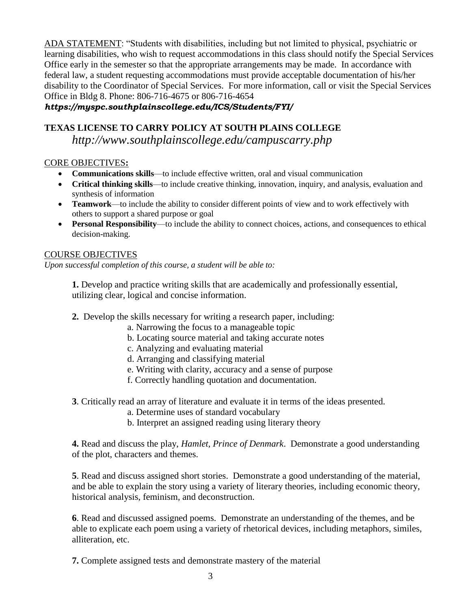ADA STATEMENT: "Students with disabilities, including but not limited to physical, psychiatric or learning disabilities, who wish to request accommodations in this class should notify the Special Services Office early in the semester so that the appropriate arrangements may be made. In accordance with federal law, a student requesting accommodations must provide acceptable documentation of his/her disability to the Coordinator of Special Services. For more information, call or visit the Special Services Office in Bldg 8. Phone: 806-716-4675 or 806-716-4654

*https://myspc.southplainscollege.edu/ICS/Students/FYI/*

### **TEXAS LICENSE TO CARRY POLICY AT SOUTH PLAINS COLLEGE**

*http://www.southplainscollege.edu/campuscarry.php*

#### CORE OBJECTIVES**:**

- **Communications skills**—to include effective written, oral and visual communication
- **Critical thinking skills**—to include creative thinking, innovation, inquiry, and analysis, evaluation and synthesis of information
- **Teamwork**—to include the ability to consider different points of view and to work effectively with others to support a shared purpose or goal
- **Personal Responsibility**—to include the ability to connect choices, actions, and consequences to ethical decision-making.

#### COURSE OBJECTIVES

*Upon successful completion of this course, a student will be able to:*

**1.** Develop and practice writing skills that are academically and professionally essential, utilizing clear, logical and concise information.

- **2.** Develop the skills necessary for writing a research paper, including:
	- a. Narrowing the focus to a manageable topic
	- b. Locating source material and taking accurate notes
	- c. Analyzing and evaluating material
	- d. Arranging and classifying material
	- e. Writing with clarity, accuracy and a sense of purpose
	- f. Correctly handling quotation and documentation.

**3**. Critically read an array of literature and evaluate it in terms of the ideas presented.

- a. Determine uses of standard vocabulary
- b. Interpret an assigned reading using literary theory

**4.** Read and discuss the play, *Hamlet, Prince of Denmark*. Demonstrate a good understanding of the plot, characters and themes.

**5**. Read and discuss assigned short stories. Demonstrate a good understanding of the material, and be able to explain the story using a variety of literary theories, including economic theory, historical analysis, feminism, and deconstruction.

**6**. Read and discussed assigned poems. Demonstrate an understanding of the themes, and be able to explicate each poem using a variety of rhetorical devices, including metaphors, similes, alliteration, etc.

**7.** Complete assigned tests and demonstrate mastery of the material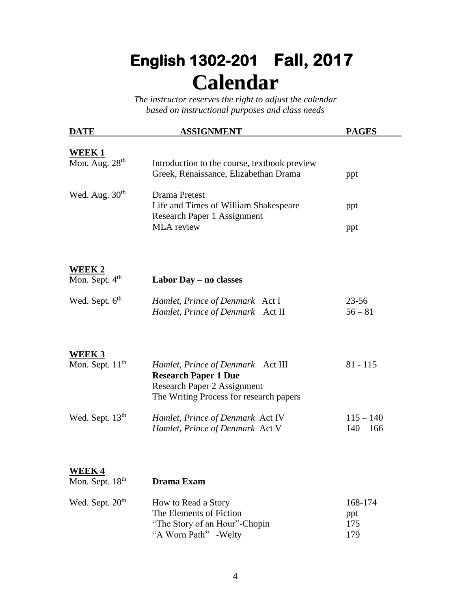# **English 1302-201 Fall, 2017 Calendar**

*The instructor reserves the right to adjust the calendar based on instructional purposes and class needs*

| <b>DATE</b>                           | <b>ASSIGNMENT</b>                                                                     | <b>PAGES</b> |
|---------------------------------------|---------------------------------------------------------------------------------------|--------------|
| <u>WEEK 1</u>                         |                                                                                       |              |
| Mon. Aug. 28 <sup>th</sup>            | Introduction to the course, textbook preview<br>Greek, Renaissance, Elizabethan Drama | ppt          |
| Wed. Aug. $30th$                      | Drama Pretest<br>Life and Times of William Shakespeare                                | ppt          |
|                                       | Research Paper 1 Assignment<br><b>MLA</b> review                                      | ppt          |
|                                       |                                                                                       |              |
| WEEK 2<br>Mon. Sept. 4 <sup>th</sup>  | Labor Day - no classes                                                                |              |
|                                       |                                                                                       | $23 - 56$    |
| Wed. Sept. 6 <sup>th</sup>            | Hamlet, Prince of Denmark Act I<br>Hamlet, Prince of Denmark Act II                   | $56 - 81$    |
|                                       |                                                                                       |              |
| WEEK 3<br>Mon. Sept. 11 <sup>th</sup> | Hamlet, Prince of Denmark Act III                                                     | $81 - 115$   |
|                                       | <b>Research Paper 1 Due</b><br>Research Paper 2 Assignment                            |              |
|                                       | The Writing Process for research papers                                               |              |
| Wed. Sept. 13 <sup>th</sup>           | Hamlet, Prince of Denmark Act IV                                                      | $115 - 140$  |
|                                       | Hamlet, Prince of Denmark Act V                                                       | $140 - 166$  |
| <u>WEEK 4</u>                         |                                                                                       |              |
| Mon. Sept. 18 <sup>th</sup>           | Drama Exam                                                                            |              |
| Wed. Sept. 20 <sup>th</sup>           | How to Read a Story                                                                   | 168-174      |
|                                       | The Elements of Fiction<br>"The Story of an Hour"-Chopin                              | ppt<br>175   |
|                                       | "A Worn Path" - Welty                                                                 | 179          |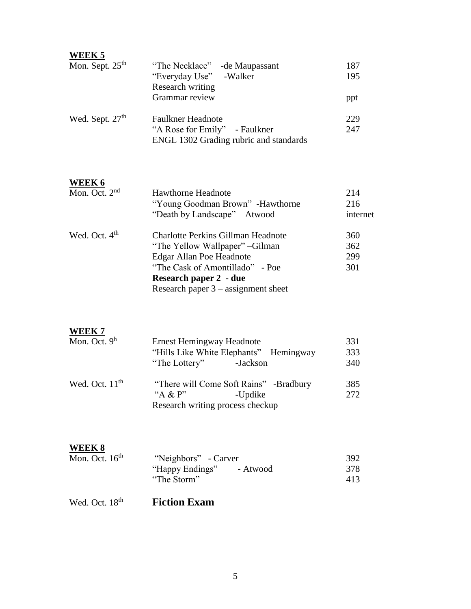| <b>WEEK 5</b><br>Mon. Sept. 25 <sup>th</sup> | "The Necklace" - de Maupassant                                                                                                                                                                                        | 187                      |
|----------------------------------------------|-----------------------------------------------------------------------------------------------------------------------------------------------------------------------------------------------------------------------|--------------------------|
|                                              | -Walker<br>"Everyday Use"<br>Research writing                                                                                                                                                                         | 195                      |
|                                              | Grammar review                                                                                                                                                                                                        | ppt                      |
| Wed. Sept. 27 <sup>th</sup>                  | <b>Faulkner Headnote</b><br>"A Rose for Emily" - Faulkner<br>ENGL 1302 Grading rubric and standards                                                                                                                   | 229<br>247               |
| <b>WEEK 6</b>                                |                                                                                                                                                                                                                       |                          |
| Mon. Oct. 2 <sup>nd</sup>                    | <b>Hawthorne Headnote</b><br>"Young Goodman Brown" -Hawthorne<br>"Death by Landscape" - Atwood                                                                                                                        | 214<br>216<br>internet   |
| Wed. Oct. $4th$                              | <b>Charlotte Perkins Gillman Headnote</b><br>"The Yellow Wallpaper" - Gilman<br><b>Edgar Allan Poe Headnote</b><br>"The Cask of Amontillado" - Poe<br>Research paper 2 - due<br>Research paper $3 -$ assignment sheet | 360<br>362<br>299<br>301 |
| <u>WEEK 7</u><br>Mon. Oct. $9h$              | <b>Ernest Hemingway Headnote</b><br>"Hills Like White Elephants" – Hemingway<br>"The Lottery"<br>-Jackson                                                                                                             | 331<br>333<br>340        |
| Wed. Oct. $11th$                             | "There will Come Soft Rains" -Bradbury<br>"A & $P$ "<br>-Updike<br>Research writing process checkup                                                                                                                   | 385<br>272               |
| <b>WEEK 8</b><br>Mon. Oct. 16 <sup>th</sup>  | "Neighbors" - Carver<br>"Happy Endings" - Atwood<br>"The Storm"                                                                                                                                                       | 392<br>378<br>413        |
| Wed. Oct. 18 <sup>th</sup>                   | <b>Fiction Exam</b>                                                                                                                                                                                                   |                          |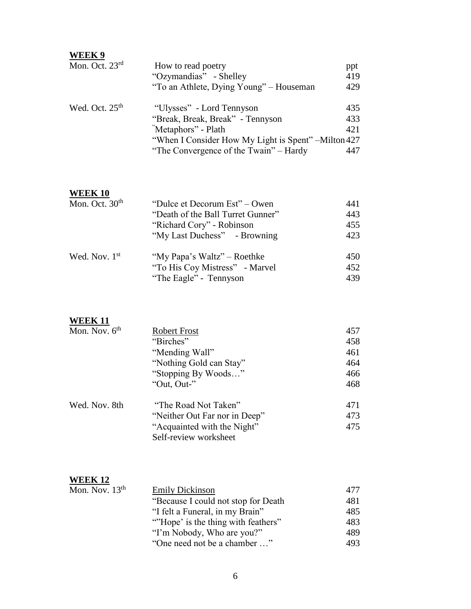| WEEK 9           |                                                      |     |
|------------------|------------------------------------------------------|-----|
| Mon. Oct. 23rd   | How to read poetry                                   | ppt |
|                  | "Ozymandias" - Shelley                               | 419 |
|                  | "To an Athlete, Dying Young" – Houseman              | 429 |
| Wed. Oct. $25th$ | "Ulysses" - Lord Tennyson                            | 435 |
|                  | "Break, Break, Break" - Tennyson                     | 433 |
|                  | "Metaphors" - Plath                                  | 421 |
|                  | "When I Consider How My Light is Spent" – Milton 427 |     |
|                  | "The Convergence of the Twain" – Hardy               | 447 |

#### **WEEK 10**

| Mon. Oct. $30th$ | "Dulce et Decorum Est" – Owen     | 441 |
|------------------|-----------------------------------|-----|
|                  | "Death of the Ball Turret Gunner" | 443 |
|                  | "Richard Cory" - Robinson         | 455 |
|                  | "My Last Duchess" - Browning      | 423 |
| Wed. Nov. 1st    | "My Papa's Waltz" – Roethke       | 450 |
|                  | "To His Coy Mistress" - Marvel    | 452 |
|                  | "The Eagle" - Tennyson            | 439 |

#### **WEEK 11**

| Mon. Nov. $6th$ | <b>Robert Frost</b>           | 457 |
|-----------------|-------------------------------|-----|
|                 | "Birches"                     | 458 |
|                 | "Mending Wall"                | 461 |
|                 | "Nothing Gold can Stay"       | 464 |
|                 | "Stopping By Woods"           | 466 |
|                 | "Out, Out-"                   | 468 |
| Wed. Nov. 8th   | "The Road Not Taken"          | 471 |
|                 | "Neither Out Far nor in Deep" | 473 |
|                 | "Acquainted with the Night"   | 475 |
|                 | Self-review worksheet         |     |

#### **WEEK 12**

| Mon. Nov. $13th$ | <b>Emily Dickinson</b>               | 477 |
|------------------|--------------------------------------|-----|
|                  | "Because I could not stop for Death" | 481 |
|                  | "I felt a Funeral, in my Brain"      | 485 |
|                  | "Hope' is the thing with feathers"   | 483 |
|                  | "I'm Nobody, Who are you?"           | 489 |
|                  | "One need not be a chamber "         | 493 |